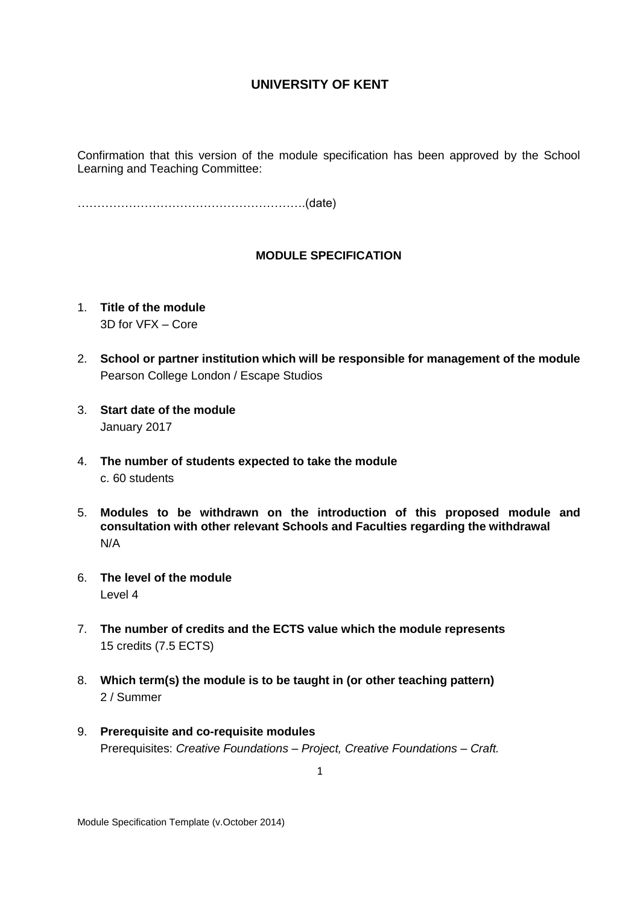Confirmation that this version of the module specification has been approved by the School Learning and Teaching Committee:

………………………………………………….(date)

#### **MODULE SPECIFICATION**

- 1. **Title of the module** 3D for VFX – Core
- 2. **School or partner institution which will be responsible for management of the module** Pearson College London / Escape Studios
- 3. **Start date of the module** January 2017
- 4. **The number of students expected to take the module** c. 60 students
- 5. **Modules to be withdrawn on the introduction of this proposed module and consultation with other relevant Schools and Faculties regarding the withdrawal** N/A
- 6. **The level of the module**  Level 4
- 7. **The number of credits and the ECTS value which the module represents**  15 credits (7.5 ECTS)
- 8. **Which term(s) the module is to be taught in (or other teaching pattern)** 2 / Summer
- 9. **Prerequisite and co-requisite modules** Prerequisites: *Creative Foundations – Project, Creative Foundations – Craft.*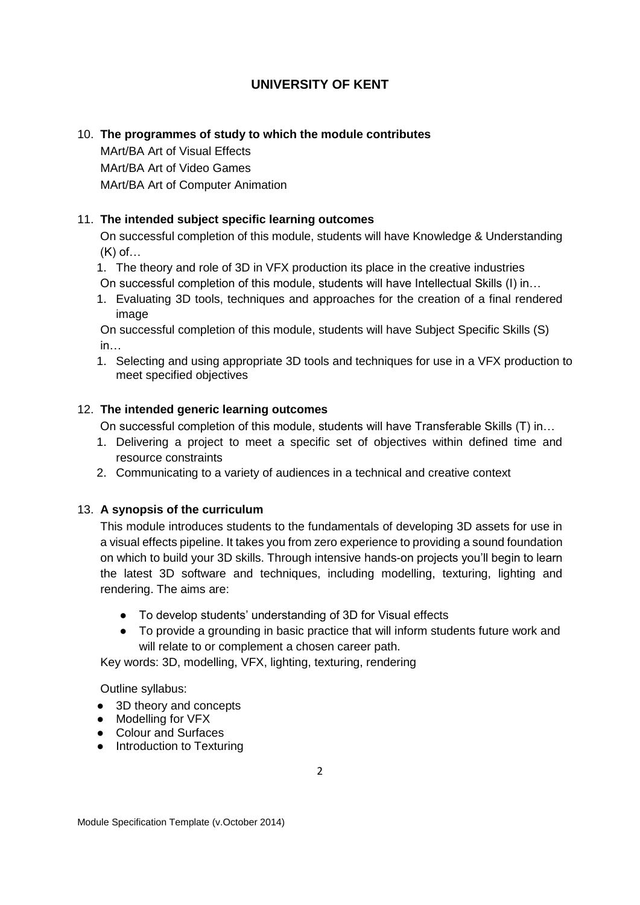## 10. **The programmes of study to which the module contributes**

MArt/BA Art of Visual Effects MArt/BA Art of Video Games MArt/BA Art of Computer Animation

## 11. **The intended subject specific learning outcomes**

On successful completion of this module, students will have Knowledge & Understanding (K) of…

1. The theory and role of 3D in VFX production its place in the creative industries

On successful completion of this module, students will have Intellectual Skills (I) in…

1. Evaluating 3D tools, techniques and approaches for the creation of a final rendered image

On successful completion of this module, students will have Subject Specific Skills (S) in…

1. Selecting and using appropriate 3D tools and techniques for use in a VFX production to meet specified objectives

### 12. **The intended generic learning outcomes**

On successful completion of this module, students will have Transferable Skills (T) in…

- 1. Delivering a project to meet a specific set of objectives within defined time and resource constraints
- 2. Communicating to a variety of audiences in a technical and creative context

#### 13. **A synopsis of the curriculum**

This module introduces students to the fundamentals of developing 3D assets for use in a visual effects pipeline. It takes you from zero experience to providing a sound foundation on which to build your 3D skills. Through intensive hands-on projects you'll begin to learn the latest 3D software and techniques, including modelling, texturing, lighting and rendering. The aims are:

- To develop students' understanding of 3D for Visual effects
- To provide a grounding in basic practice that will inform students future work and will relate to or complement a chosen career path.

Key words: 3D, modelling, VFX, lighting, texturing, rendering

Outline syllabus:

- 3D theory and concepts
- Modelling for VFX
- Colour and Surfaces
- Introduction to Texturing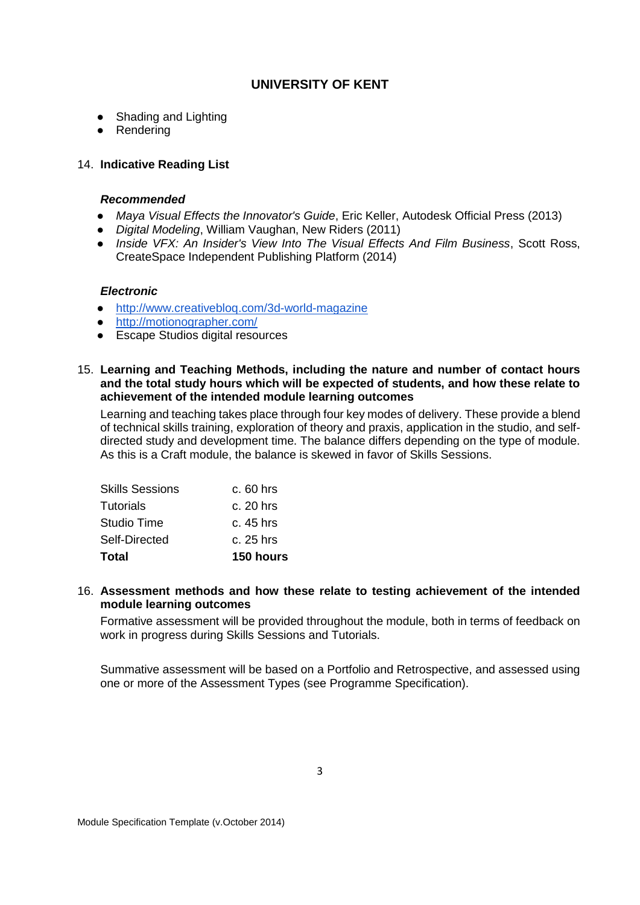- Shading and Lighting
- Rendering

### 14. **Indicative Reading List**

#### *Recommended*

- *Maya Visual Effects the Innovator's Guide*, Eric Keller, Autodesk Official Press (2013)
- *Digital Modeling*, William Vaughan, New Riders (2011)
- *Inside VFX: An Insider's View Into The Visual Effects And Film Business*, Scott Ross, CreateSpace Independent Publishing Platform (2014)

#### *Electronic*

- <http://www.creativebloq.com/3d-world-magazine>
- <http://motionographer.com/>
- Escape Studios digital resources
- 15. **Learning and Teaching Methods, including the nature and number of contact hours and the total study hours which will be expected of students, and how these relate to achievement of the intended module learning outcomes**

Learning and teaching takes place through four key modes of delivery. These provide a blend of technical skills training, exploration of theory and praxis, application in the studio, and selfdirected study and development time. The balance differs depending on the type of module. As this is a Craft module, the balance is skewed in favor of Skills Sessions.

| <b>Total</b>           | <b>150 hours</b> |
|------------------------|------------------|
| Self-Directed          | c. 25 hrs        |
| Studio Time            | c. 45 hrs        |
| <b>Tutorials</b>       | $c. 20$ hrs      |
| <b>Skills Sessions</b> | $c.60$ hrs       |

#### 16. **Assessment methods and how these relate to testing achievement of the intended module learning outcomes**

Formative assessment will be provided throughout the module, both in terms of feedback on work in progress during Skills Sessions and Tutorials.

Summative assessment will be based on a Portfolio and Retrospective, and assessed using one or more of the Assessment Types (see Programme Specification).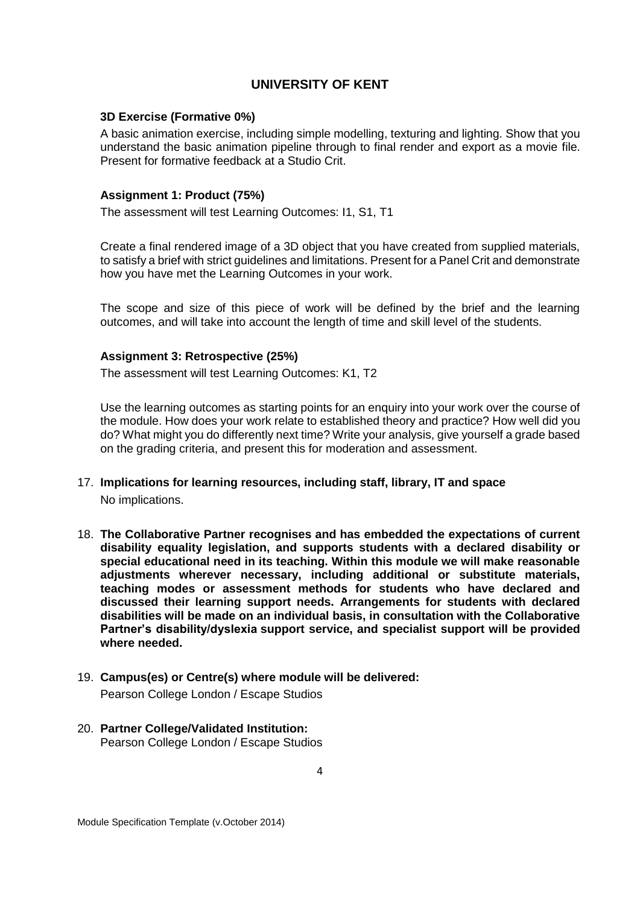#### **3D Exercise (Formative 0%)**

A basic animation exercise, including simple modelling, texturing and lighting. Show that you understand the basic animation pipeline through to final render and export as a movie file. Present for formative feedback at a Studio Crit.

#### **Assignment 1: Product (75%)**

The assessment will test Learning Outcomes: I1, S1, T1

Create a final rendered image of a 3D object that you have created from supplied materials, to satisfy a brief with strict guidelines and limitations. Present for a Panel Crit and demonstrate how you have met the Learning Outcomes in your work.

The scope and size of this piece of work will be defined by the brief and the learning outcomes, and will take into account the length of time and skill level of the students.

#### **Assignment 3: Retrospective (25%)**

The assessment will test Learning Outcomes: K1, T2

Use the learning outcomes as starting points for an enquiry into your work over the course of the module. How does your work relate to established theory and practice? How well did you do? What might you do differently next time? Write your analysis, give yourself a grade based on the grading criteria, and present this for moderation and assessment.

- 17. **Implications for learning resources, including staff, library, IT and space** No implications.
- 18. **The Collaborative Partner recognises and has embedded the expectations of current disability equality legislation, and supports students with a declared disability or special educational need in its teaching. Within this module we will make reasonable adjustments wherever necessary, including additional or substitute materials, teaching modes or assessment methods for students who have declared and discussed their learning support needs. Arrangements for students with declared disabilities will be made on an individual basis, in consultation with the Collaborative Partner's disability/dyslexia support service, and specialist support will be provided where needed.**
- 19. **Campus(es) or Centre(s) where module will be delivered:** Pearson College London / Escape Studios
- 20. **Partner College/Validated Institution:** Pearson College London / Escape Studios